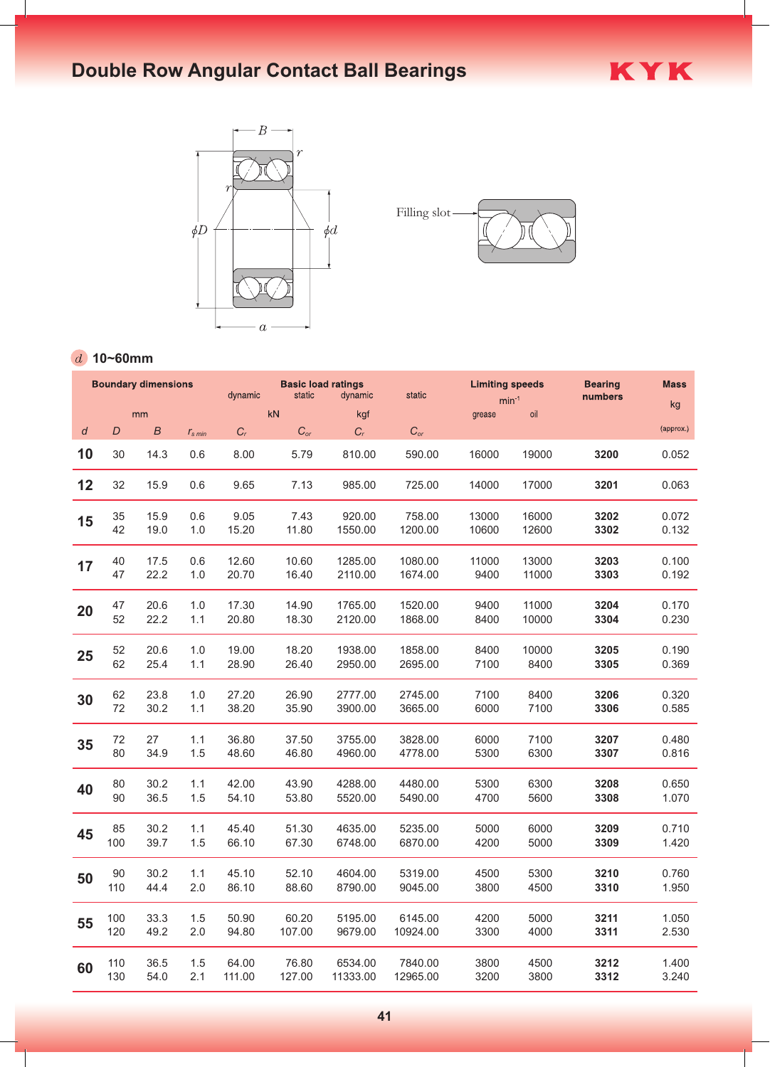# **Double Row Angular Contact Ball Bearings**





KYK

#### **10~60mm**

|    |     | <b>Boundary dimensions</b> |                      | <b>Basic load ratings</b><br>dynamic<br>static<br>dynamic |                   |          | static            | <b>Limiting speeds</b><br>$min^{-1}$ |       | <b>Bearing</b><br>numbers | <b>Mass</b> |
|----|-----|----------------------------|----------------------|-----------------------------------------------------------|-------------------|----------|-------------------|--------------------------------------|-------|---------------------------|-------------|
| mm |     |                            |                      |                                                           | kN                | kgf      |                   | grease                               | oil   |                           | kg          |
| d  | D   | $\boldsymbol{B}$           | $r_s$ <sub>min</sub> | $C_r$                                                     | $C_{\mathit{or}}$ | $C_r$    | $C_{\textit{or}}$ |                                      |       |                           | (approx.)   |
| 10 | 30  | 14.3                       | 0.6                  | 8.00                                                      | 5.79              | 810.00   | 590.00            | 16000                                | 19000 | 3200                      | 0.052       |
| 12 | 32  | 15.9                       | 0.6                  | 9.65                                                      | 7.13              | 985.00   | 725.00            | 14000                                | 17000 | 3201                      | 0.063       |
| 15 | 35  | 15.9                       | 0.6                  | 9.05                                                      | 7.43              | 920.00   | 758.00            | 13000                                | 16000 | 3202                      | 0.072       |
|    | 42  | 19.0                       | 1.0                  | 15.20                                                     | 11.80             | 1550.00  | 1200.00           | 10600                                | 12600 | 3302                      | 0.132       |
| 17 | 40  | 17.5                       | 0.6                  | 12.60                                                     | 10.60             | 1285.00  | 1080.00           | 11000                                | 13000 | 3203                      | 0.100       |
|    | 47  | 22.2                       | 1.0                  | 20.70                                                     | 16.40             | 2110.00  | 1674.00           | 9400                                 | 11000 | 3303                      | 0.192       |
| 20 | 47  | 20.6                       | 1.0                  | 17.30                                                     | 14.90             | 1765.00  | 1520.00           | 9400                                 | 11000 | 3204                      | 0.170       |
|    | 52  | 22.2                       | 1.1                  | 20.80                                                     | 18.30             | 2120.00  | 1868.00           | 8400                                 | 10000 | 3304                      | 0.230       |
| 25 | 52  | 20.6                       | 1.0                  | 19.00                                                     | 18.20             | 1938.00  | 1858.00           | 8400                                 | 10000 | 3205                      | 0.190       |
|    | 62  | 25.4                       | 1.1                  | 28.90                                                     | 26.40             | 2950.00  | 2695.00           | 7100                                 | 8400  | 3305                      | 0.369       |
| 30 | 62  | 23.8                       | 1.0                  | 27.20                                                     | 26.90             | 2777.00  | 2745.00           | 7100                                 | 8400  | 3206                      | 0.320       |
|    | 72  | 30.2                       | 1.1                  | 38.20                                                     | 35.90             | 3900.00  | 3665.00           | 6000                                 | 7100  | 3306                      | 0.585       |
| 35 | 72  | 27                         | 1.1                  | 36.80                                                     | 37.50             | 3755.00  | 3828.00           | 6000                                 | 7100  | 3207                      | 0.480       |
|    | 80  | 34.9                       | 1.5                  | 48.60                                                     | 46.80             | 4960.00  | 4778.00           | 5300                                 | 6300  | 3307                      | 0.816       |
| 40 | 80  | 30.2                       | 1.1                  | 42.00                                                     | 43.90             | 4288.00  | 4480.00           | 5300                                 | 6300  | 3208                      | 0.650       |
|    | 90  | 36.5                       | 1.5                  | 54.10                                                     | 53.80             | 5520.00  | 5490.00           | 4700                                 | 5600  | 3308                      | 1.070       |
| 45 | 85  | 30.2                       | 1.1                  | 45.40                                                     | 51.30             | 4635.00  | 5235.00           | 5000                                 | 6000  | 3209                      | 0.710       |
|    | 100 | 39.7                       | 1.5                  | 66.10                                                     | 67.30             | 6748.00  | 6870.00           | 4200                                 | 5000  | 3309                      | 1.420       |
| 50 | 90  | 30.2                       | 1.1                  | 45.10                                                     | 52.10             | 4604.00  | 5319.00           | 4500                                 | 5300  | 3210                      | 0.760       |
|    | 110 | 44.4                       | 2.0                  | 86.10                                                     | 88.60             | 8790.00  | 9045.00           | 3800                                 | 4500  | 3310                      | 1.950       |
| 55 | 100 | 33.3                       | 1.5                  | 50.90                                                     | 60.20             | 5195.00  | 6145.00           | 4200                                 | 5000  | 3211                      | 1.050       |
|    | 120 | 49.2                       | 2.0                  | 94.80                                                     | 107.00            | 9679.00  | 10924.00          | 3300                                 | 4000  | 3311                      | 2.530       |
| 60 | 110 | 36.5                       | 1.5                  | 64.00                                                     | 76.80             | 6534.00  | 7840.00           | 3800                                 | 4500  | 3212                      | 1.400       |
|    | 130 | 54.0                       | 2.1                  | 111.00                                                    | 127.00            | 11333.00 | 12965.00          | 3200                                 | 3800  | 3312                      | 3.240       |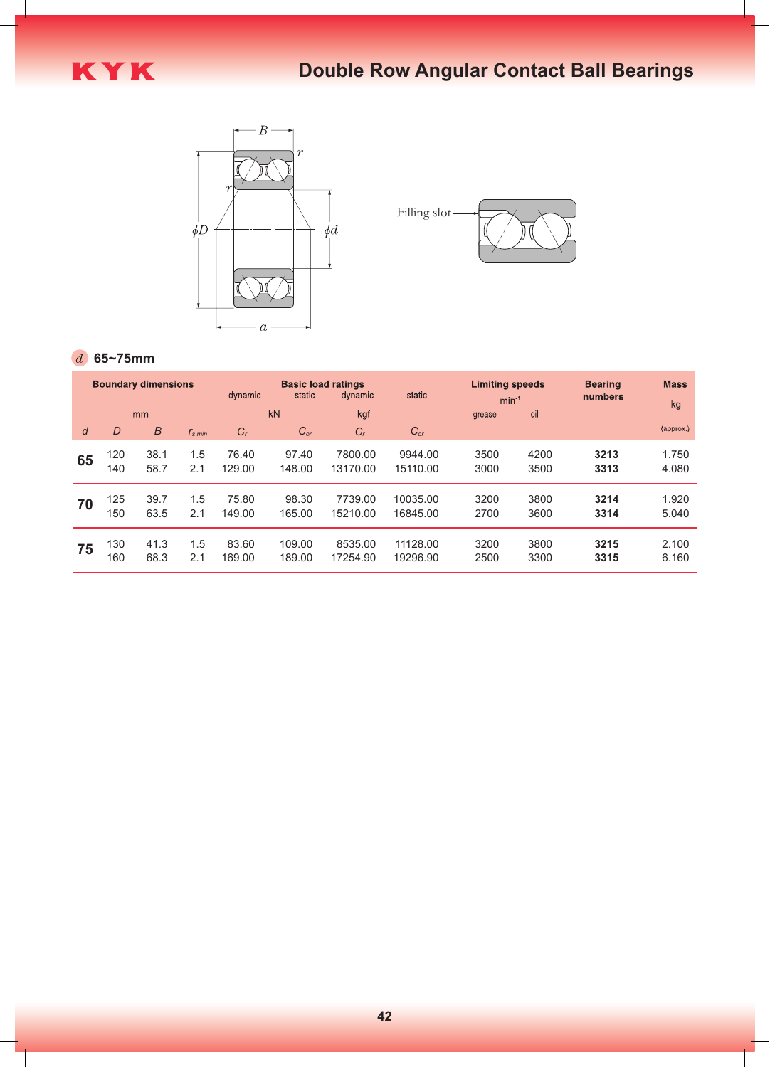



#### **65~75mm**

|    |     | <b>Boundary dimensions</b> |                 | dynamic                    | <b>Basic load ratings</b><br>static | static<br>dynamic |          | <b>Limiting speeds</b><br>$min-1$ |      | <b>Bearing</b><br>numbers | <b>Mass</b><br>kg |
|----|-----|----------------------------|-----------------|----------------------------|-------------------------------------|-------------------|----------|-----------------------------------|------|---------------------------|-------------------|
|    |     | mm                         |                 |                            | kN                                  | kgf               |          | grease                            | oil  |                           |                   |
| d  | D   | B                          | $r_{\rm s,min}$ | $C_{r}$<br>$C_{\text{or}}$ |                                     | $C_{r}$           | $C_{or}$ |                                   |      |                           | (approx.)         |
| 65 | 120 | 38.1                       | 1.5             | 76.40                      | 97.40                               | 7800.00           | 9944.00  | 3500                              | 4200 | 3213                      | 1.750             |
|    | 140 | 58.7                       | 2.1             | 129.00                     | 148.00                              | 13170.00          | 15110.00 | 3000                              | 3500 | 3313                      | 4.080             |
| 70 | 125 | 39.7                       | 1.5             | 75.80                      | 98.30                               | 7739.00           | 10035.00 | 3200                              | 3800 | 3214                      | 1.920             |
|    | 150 | 63.5                       | 2.1             | 149.00                     | 165.00                              | 15210.00          | 16845.00 | 2700                              | 3600 | 3314                      | 5.040             |
| 75 | 130 | 41.3                       | 1.5             | 83.60                      | 109.00                              | 8535.00           | 11128.00 | 3200                              | 3800 | 3215                      | 2.100             |
|    | 160 | 68.3                       | 2.1             | 169.00                     | 189.00                              | 17254.90          | 19296.90 | 2500                              | 3300 | 3315                      | 6.160             |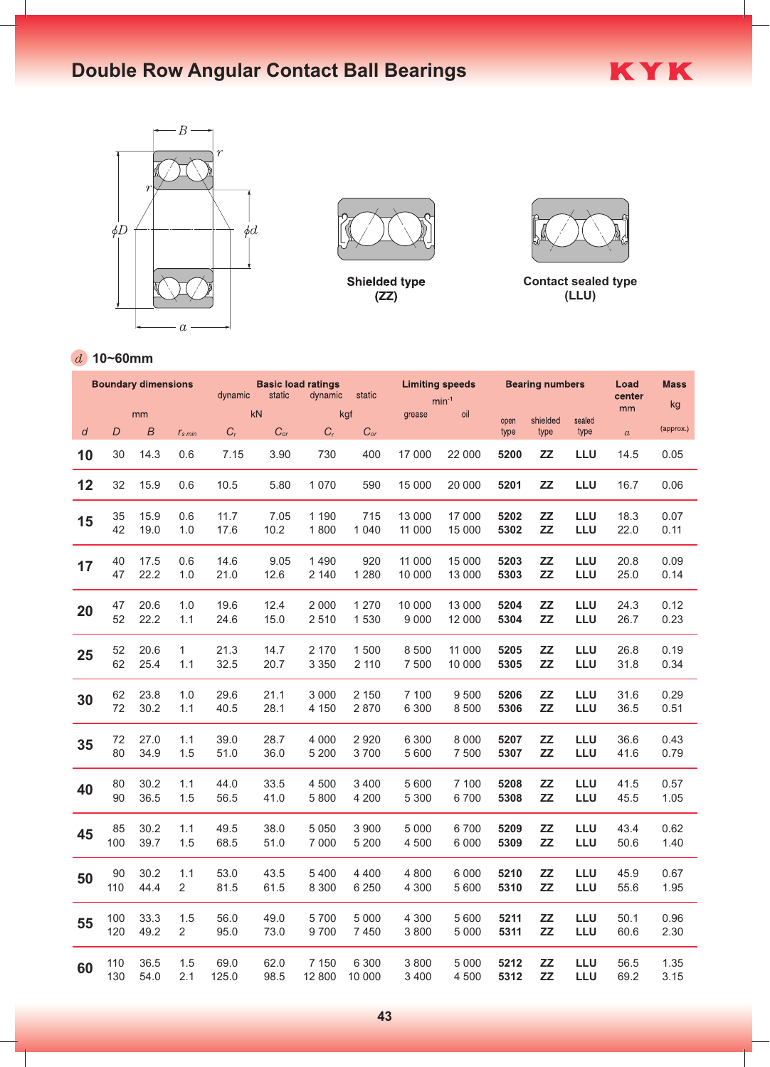# **Double Row Angular Contact Ball Bearings**





**Shielded type**  $(ZZ)$ 



KYK

**Contact sealed type (LLU)**

### **10~60mm**

|    |     | <b>Boundary dimensions</b> |                | dynamic          | static   | <b>Basic load ratings</b><br>dynamic | static            |         | <b>Limiting speeds</b> | <b>Bearing numbers</b> |                  |                | Load<br>center   | <b>Mass</b> |
|----|-----|----------------------------|----------------|------------------|----------|--------------------------------------|-------------------|---------|------------------------|------------------------|------------------|----------------|------------------|-------------|
|    | mm  |                            |                |                  | kN       |                                      | kgf               | grease  | $min-1$<br>oil         |                        |                  | mm             | kg               |             |
| d  | D   | $\boldsymbol{B}$           | $r_{s,min}$    | $\mathfrak{C}_r$ | $C_{or}$ | $C_r$                                | $C_{\mathit{or}}$ |         |                        | open<br>type           | shielded<br>type | sealed<br>type | $\boldsymbol{a}$ | (approx.)   |
| 10 | 30  | 14.3                       | 0.6            | 7.15             | 3.90     | 730                                  | 400               | 17 000  | 22 000                 | 5200                   | ZZ               | LLU            | 14.5             | 0.05        |
| 12 | 32  | 15.9                       | 0.6            | 10.5             | 5.80     | 1 0 7 0                              | 590               | 15 000  | 20 000                 | 5201                   | ZZ               | LLU            | 16.7             | 0.06        |
| 15 | 35  | 15.9                       | 0.6            | 11.7             | 7.05     | 1 1 9 0                              | 715               | 13 000  | 17 000                 | 5202                   | ZZ               | <b>LLU</b>     | 18.3             | 0.07        |
|    | 42  | 19.0                       | 1.0            | 17.6             | 10.2     | 1800                                 | 1 0 4 0           | 11 000  | 15 000                 | 5302                   | ZZ               | LLU            | 22.0             | 0.11        |
| 17 | 40  | 17.5                       | 0.6            | 14.6             | 9.05     | 1 4 9 0                              | 920               | 11 000  | 15 000                 | 5203                   | ZZ               | LLU            | 20.8             | 0.09        |
|    | 47  | 22.2                       | 1.0            | 21.0             | 12.6     | 2 140                                | 1 2 8 0           | 10 000  | 13 000                 | 5303                   | ZZ               | LLU            | 25.0             | 0.14        |
| 20 | 47  | 20.6                       | 1.0            | 19.6             | 12.4     | 2 0 0 0                              | 1 270             | 10 000  | 13 000                 | 5204                   | ZZ               | LLU            | 24.3             | 0.12        |
|    | 52  | 22.2                       | 1.1            | 24.6             | 15.0     | 2510                                 | 1530              | 9 0 0 0 | 12 000                 | 5304                   | ZZ               | LLU            | 26.7             | 0.23        |
| 25 | 52  | 20.6                       | 1              | 21.3             | 14.7     | 2 170                                | 1500              | 8 500   | 11 000                 | 5205                   | ZZ               | LLU            | 26.8             | 0.19        |
|    | 62  | 25.4                       | 1.1            | 32.5             | 20.7     | 3 3 5 0                              | 2 110             | 7 500   | 10 000                 | 5305                   | ZZ               | LLU            | 31.8             | 0.34        |
| 30 | 62  | 23.8                       | 1.0            | 29.6             | 21.1     | 3 0 0 0                              | 2 150             | 7 100   | 9500                   | 5206                   | <b>ZZ</b>        | LLU            | 31.6             | 0.29        |
|    | 72  | 30.2                       | 1.1            | 40.5             | 28.1     | 4 150                                | 2870              | 6 300   | 8 500                  | 5306                   | ZZ               | LLU            | 36.5             | 0.51        |
| 35 | 72  | 27.0                       | 1.1            | 39.0             | 28.7     | 4 0 0 0                              | 2920              | 6 300   | 8 0 0 0                | 5207                   | ZZ               | LLU            | 36.6             | 0.43        |
|    | 80  | 34.9                       | 1.5            | 51.0             | 36.0     | 5 200                                | 3700              | 5 600   | 7 500                  | 5307                   | ZZ               | LLU            | 41.6             | 0.79        |
| 40 | 80  | 30.2                       | 1.1            | 44.0             | 33.5     | 4 500                                | 3 4 0 0           | 5 600   | 7 100                  | 5208                   | ZZ               | LLU            | 41.5             | 0.57        |
|    | 90  | 36.5                       | 1.5            | 56.5             | 41.0     | 5 800                                | 4 200             | 5 300   | 6700                   | 5308                   | ZZ               | LLU            | 45.5             | 1.05        |
| 45 | 85  | 30.2                       | 1.1            | 49.5             | 38.0     | 5 0 5 0                              | 3 900             | 5 0 0 0 | 6700                   | 5209                   | ZZ               | LLU            | 43.4             | 0.62        |
|    | 100 | 39.7                       | 1.5            | 68.5             | 51.0     | 7 0 0 0                              | 5 200             | 4 500   | 6 0 0 0                | 5309                   | ZZ               | LLU            | 50.6             | 1.40        |
| 50 | 90  | 30.2                       | 1.1            | 53.0             | 43.5     | 5 4 0 0                              | 4 4 0 0           | 4 800   | 6 0 0 0                | 5210                   | ZZ               | LLU            | 45.9             | 0.67        |
|    | 110 | 44.4                       | $\overline{2}$ | 81.5             | 61.5     | 8 3 0 0                              | 6 2 5 0           | 4 3 0 0 | 5 600                  | 5310                   | ZZ               | LLU            | 55.6             | 1.95        |
| 55 | 100 | 33.3                       | 1.5            | 56.0             | 49.0     | 5700                                 | 5 0 0 0           | 4 3 0 0 | 5 600                  | 5211                   | ZZ               | LLU            | 50.1             | 0.96        |
|    | 120 | 49.2                       | $\overline{2}$ | 95.0             | 73.0     | 9700                                 | 7450              | 3800    | 5 0 0 0                | 5311                   | <b>ZZ</b>        | LLU            | 60.6             | 2.30        |
| 60 | 110 | 36.5                       | 1.5            | 69.0             | 62.0     | 7 150                                | 6 300             | 3800    | 5 0 0 0                | 5212                   | ZZ               | LLU            | 56.5             | 1.35        |
|    | 130 | 54.0                       | 2.1            | 125.0            | 98.5     | 12 800                               | 10 000            | 3 4 0 0 | 4 500                  | 5312                   | ZZ               | LLU            | 69.2             | 3.15        |